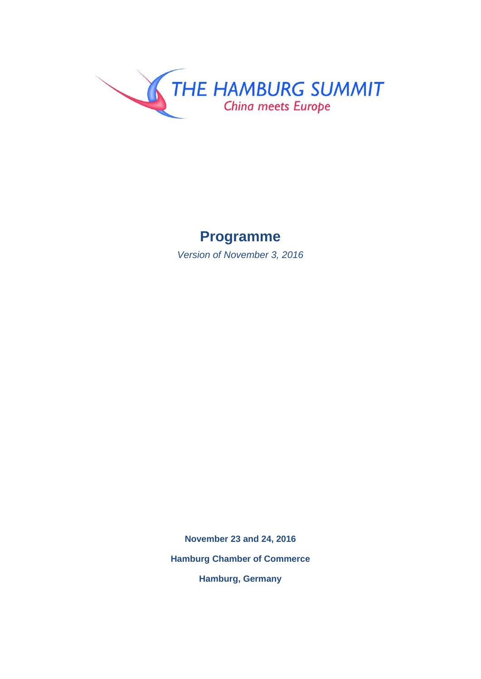

## **Programme**

*Version of November 3, 2016*

**November 23 and 24, 2016 Hamburg Chamber of Commerce Hamburg, Germany**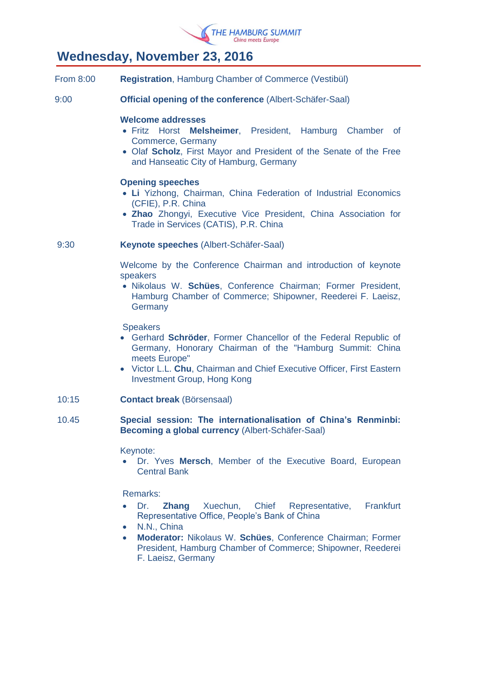

### **Wednesday, November 23, 2016**

- From 8:00 **Registration**, Hamburg Chamber of Commerce (Vestibül)
- 9:00 **Official opening of the conference** (Albert-Schäfer-Saal)

### **Welcome addresses**

- Fritz Horst **Melsheimer**, President, Hamburg Chamber of Commerce, Germany
- Olaf **Scholz**, First Mayor and President of the Senate of the Free and Hanseatic City of Hamburg, Germany

### **Opening speeches**

- **Li** Yizhong, Chairman, China Federation of Industrial Economics (CFIE), P.R. China
- **Zhao** Zhongyi, Executive Vice President, China Association for Trade in Services (CATIS), P.R. China

### 9:30 **Keynote speeches** (Albert-Schäfer-Saal)

Welcome by the Conference Chairman and introduction of keynote speakers

 Nikolaus W. **Schües**, Conference Chairman; Former President, Hamburg Chamber of Commerce; Shipowner, Reederei F. Laeisz, **Germany** 

### **Speakers**

- Gerhard **Schröder**, Former Chancellor of the Federal Republic of Germany, Honorary Chairman of the "Hamburg Summit: China meets Europe"
- Victor L.L. **Chu**, Chairman and Chief Executive Officer, First Eastern Investment Group, Hong Kong
- 10:15 **Contact break** (Börsensaal)

### 10.45 **Special session: The internationalisation of China's Renminbi: Becoming a global currency** (Albert-Schäfer-Saal)

### Keynote:

 Dr. Yves **Mersch**, Member of the Executive Board, European Central Bank

Remarks:

- Dr. **Zhang** Xuechun, Chief Representative, Frankfurt Representative Office, People's Bank of China
- N.N., China
- **Moderator:** Nikolaus W. **Schües**, Conference Chairman; Former President, Hamburg Chamber of Commerce; Shipowner, Reederei F. Laeisz, Germany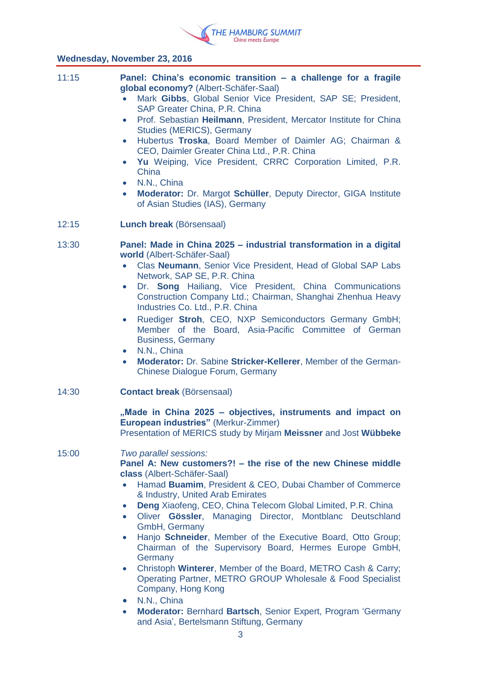

### **Wednesday, November 23, 2016**

| 11:15 | Panel: China's economic transition - a challenge for a fragile<br>global economy? (Albert-Schäfer-Saal)<br>Mark Gibbs, Global Senior Vice President, SAP SE; President,<br>$\bullet$<br>SAP Greater China, P.R. China<br>• Prof. Sebastian Heilmann, President, Mercator Institute for China<br>Studies (MERICS), Germany<br>Hubertus Troska, Board Member of Daimler AG; Chairman &<br>$\bullet$<br>CEO, Daimler Greater China Ltd., P.R. China<br>Yu Weiping, Vice President, CRRC Corporation Limited, P.R.<br>$\bullet$<br>China<br>N.N., China<br>$\bullet$<br>Moderator: Dr. Margot Schüller, Deputy Director, GIGA Institute<br>$\bullet$<br>of Asian Studies (IAS), Germany                                                                                                                             |
|-------|-----------------------------------------------------------------------------------------------------------------------------------------------------------------------------------------------------------------------------------------------------------------------------------------------------------------------------------------------------------------------------------------------------------------------------------------------------------------------------------------------------------------------------------------------------------------------------------------------------------------------------------------------------------------------------------------------------------------------------------------------------------------------------------------------------------------|
| 12:15 | Lunch break (Börsensaal)                                                                                                                                                                                                                                                                                                                                                                                                                                                                                                                                                                                                                                                                                                                                                                                        |
| 13:30 | Panel: Made in China 2025 - industrial transformation in a digital<br>world (Albert-Schäfer-Saal)<br>Clas Neumann, Senior Vice President, Head of Global SAP Labs<br>$\bullet$<br>Network, SAP SE, P.R. China<br>Dr. Song Hailiang, Vice President, China Communications<br>$\bullet$<br>Construction Company Ltd.; Chairman, Shanghai Zhenhua Heavy<br>Industries Co. Ltd., P.R. China<br>Ruediger Stroh, CEO, NXP Semiconductors Germany GmbH;<br>$\bullet$<br>Member of the Board, Asia-Pacific Committee of German<br><b>Business, Germany</b><br>• N.N., China<br>Moderator: Dr. Sabine Stricker-Kellerer, Member of the German-<br>$\bullet$<br>Chinese Dialogue Forum, Germany                                                                                                                           |
| 14:30 | <b>Contact break (Börsensaal)</b><br>"Made in China 2025 – objectives, instruments and impact on<br>European industries" (Merkur-Zimmer)<br>Presentation of MERICS study by Mirjam Meissner and Jost Wübbeke                                                                                                                                                                                                                                                                                                                                                                                                                                                                                                                                                                                                    |
| 15:00 | Two parallel sessions:<br>Panel A: New customers?! – the rise of the new Chinese middle<br>class (Albert-Schäfer-Saal)<br>Hamad Buamim, President & CEO, Dubai Chamber of Commerce<br>$\bullet$<br>& Industry, United Arab Emirates<br>Deng Xiaofeng, CEO, China Telecom Global Limited, P.R. China<br>$\bullet$<br>Oliver Gössler, Managing Director, Montblanc Deutschland<br>$\bullet$<br>GmbH, Germany<br>Hanjo Schneider, Member of the Executive Board, Otto Group;<br>$\bullet$<br>Chairman of the Supervisory Board, Hermes Europe GmbH,<br>Germany<br>• Christoph Winterer, Member of the Board, METRO Cash & Carry;<br>Operating Partner, METRO GROUP Wholesale & Food Specialist<br>Company, Hong Kong<br>N.N., China<br>$\bullet$<br>• Moderator: Bernhard Bartsch, Senior Expert, Program 'Germany |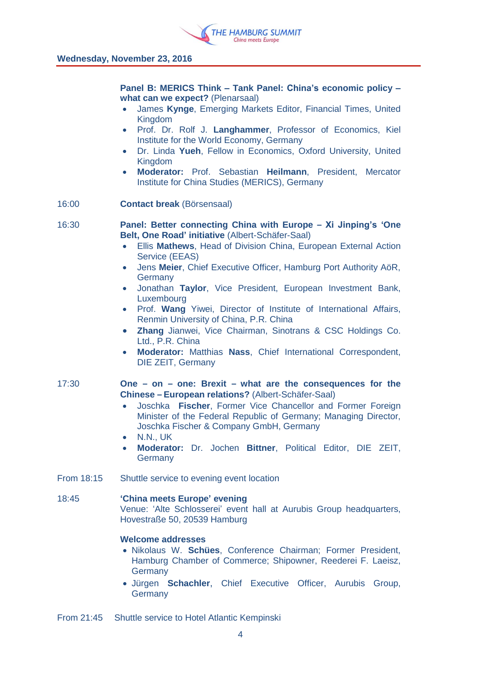

**Panel B: MERICS Think – Tank Panel: China's economic policy – what can we expect?** (Plenarsaal)

- James **Kynge**, Emerging Markets Editor, Financial Times, United Kingdom
- Prof. Dr. Rolf J. **Langhammer**, Professor of Economics, Kiel Institute for the World Economy, Germany
- Dr. Linda **Yueh**, Fellow in Economics, Oxford University, United **Kingdom**
- **Moderator:** Prof. Sebastian **Heilmann**, President, Mercator Institute for China Studies (MERICS), Germany
- 16:00 **Contact break** (Börsensaal)

- 16:30 **Panel: Better connecting China with Europe – Xi Jinping's 'One Belt, One Road' initiative** (Albert-Schäfer-Saal)
	- Ellis **Mathews**, Head of Division China, European External Action Service (EEAS)
	- Jens **Meier**, Chief Executive Officer, Hamburg Port Authority AöR, **Germany**
	- Jonathan **Taylor**, Vice President, European Investment Bank, Luxembourg
	- Prof. **Wang** Yiwei, Director of Institute of International Affairs, Renmin University of China, P.R. China
	- **Zhang** Jianwei, Vice Chairman, Sinotrans & CSC Holdings Co. Ltd., P.R. China
	- **Moderator:** Matthias **Nass**, Chief International Correspondent, DIE ZEIT, Germany

17:30 **One – on – one: Brexit – what are the consequences for the Chinese – European relations?** (Albert-Schäfer-Saal)

- Joschka **Fischer**, Former Vice Chancellor and Former Foreign Minister of the Federal Republic of Germany; Managing Director, Joschka Fischer & Company GmbH, Germany
- N.N., UK
- **Moderator:** Dr. Jochen **Bittner**, Political Editor, DIE ZEIT, **Germany**
- From 18:15 Shuttle service to evening event location

#### 18:45 **'China meets Europe' evening**

Venue: 'Alte Schlosserei' event hall at Aurubis Group headquarters, Hovestraße 50, 20539 Hamburg

### **Welcome addresses**

- Nikolaus W. **Schües**, Conference Chairman; Former President, Hamburg Chamber of Commerce; Shipowner, Reederei F. Laeisz, Germany
- Jürgen **Schachler**, Chief Executive Officer, Aurubis Group, **Germany**

From 21:45 Shuttle service to Hotel Atlantic Kempinski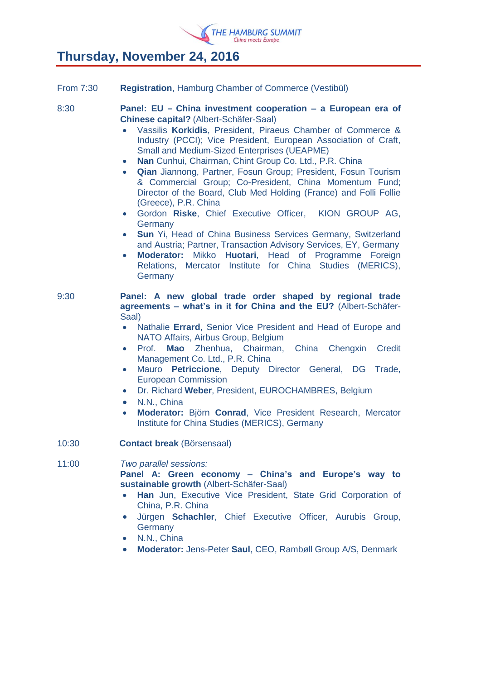

# **Thursday, November 24, 2016**

| <b>From 7:30</b> | <b>Registration, Hamburg Chamber of Commerce (Vestibül)</b>                                                                                                                                                                                                                                                                                                                                                                                                                                                                                                                                                                                                                                                                                                                                                                                                                                                                                                                                                  |
|------------------|--------------------------------------------------------------------------------------------------------------------------------------------------------------------------------------------------------------------------------------------------------------------------------------------------------------------------------------------------------------------------------------------------------------------------------------------------------------------------------------------------------------------------------------------------------------------------------------------------------------------------------------------------------------------------------------------------------------------------------------------------------------------------------------------------------------------------------------------------------------------------------------------------------------------------------------------------------------------------------------------------------------|
| 8:30             | Panel: EU - China investment cooperation - a European era of<br><b>Chinese capital? (Albert-Schäfer-Saal)</b><br>Vassilis Korkidis, President, Piraeus Chamber of Commerce &<br>$\bullet$<br>Industry (PCCI); Vice President, European Association of Craft,<br><b>Small and Medium-Sized Enterprises (UEAPME)</b><br>Nan Cunhui, Chairman, Chint Group Co. Ltd., P.R. China<br>$\bullet$<br>Qian Jiannong, Partner, Fosun Group; President, Fosun Tourism<br>$\bullet$<br>& Commercial Group; Co-President, China Momentum Fund;<br>Director of the Board, Club Med Holding (France) and Folli Follie<br>(Greece), P.R. China<br>Gordon Riske, Chief Executive Officer, KION GROUP AG,<br>$\bullet$<br>Germany<br>Sun Yi, Head of China Business Services Germany, Switzerland<br>$\bullet$<br>and Austria; Partner, Transaction Advisory Services, EY, Germany<br>Moderator: Mikko Huotari, Head of Programme Foreign<br>$\bullet$<br>Relations, Mercator Institute for China Studies (MERICS),<br>Germany |
| 9:30             | Panel: A new global trade order shaped by regional trade<br>agreements - what's in it for China and the EU? (Albert-Schäfer-<br>Saal)<br>Nathalie Errard, Senior Vice President and Head of Europe and<br>$\bullet$<br>NATO Affairs, Airbus Group, Belgium<br>Prof. Mao Zhenhua, Chairman, China Chengxin Credit<br>$\bullet$<br>Management Co. Ltd., P.R. China<br>Mauro Petriccione, Deputy Director General, DG Trade,<br>$\bullet$<br><b>European Commission</b><br>Dr. Richard Weber, President, EUROCHAMBRES, Belgium<br>$\bullet$<br>N.N., China<br>$\bullet$<br>Moderator: Björn Conrad, Vice President Research, Mercator<br>$\bullet$<br>Institute for China Studies (MERICS), Germany                                                                                                                                                                                                                                                                                                             |
| 10:30            | <b>Contact break (Börsensaal)</b>                                                                                                                                                                                                                                                                                                                                                                                                                                                                                                                                                                                                                                                                                                                                                                                                                                                                                                                                                                            |
| 11:00            | Two parallel sessions:<br>Panel A: Green economy - China's and Europe's way to<br>sustainable growth (Albert-Schäfer-Saal)<br>Han Jun, Executive Vice President, State Grid Corporation of<br>$\bullet$<br>China, P.R. China<br>Jürgen Schachler, Chief Executive Officer, Aurubis Group,<br>$\bullet$<br>Germany<br>N.N., China<br>$\bullet$<br>Moderator: Jens-Peter Saul, CEO, Rambøll Group A/S, Denmark<br>$\bullet$                                                                                                                                                                                                                                                                                                                                                                                                                                                                                                                                                                                    |